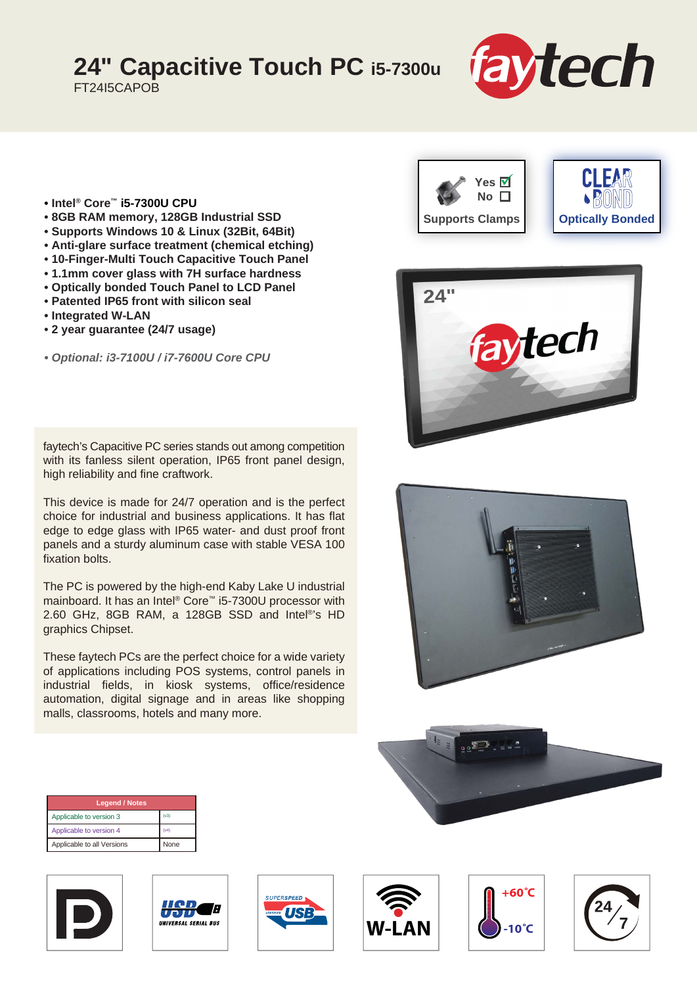## **24" Capacitive Touch PC i5-7300u**

FT24I5CAPOB



- **Intel® Core™ i5-7300U CPU**
- **8GB RAM memory, 128GB Industrial SSD**
- **Supports Windows 10 & Linux (32Bit, 64Bit)**
- **Anti-glare surface treatment (chemical etching)**
- **10-Finger-Multi Touch Capacitive Touch Panel**
- **1.1mm cover glass with 7H surface hardness**
- **Optically bonded Touch Panel to LCD Panel**
- **Patented IP65 front with silicon seal**
- **Integrated W-LAN**
- **2 year guarantee (24/7 usage)**

*• Optional: i3-7100U / i7-7600U Core CPU*

faytech's Capacitive PC series stands out among competition with its fanless silent operation, IP65 front panel design, high reliability and fine craftwork.

This device is made for 24/7 operation and is the perfect choice for industrial and business applications. It has flat edge to edge glass with IP65 water- and dust proof front panels and a sturdy aluminum case with stable VESA 100 fixation bolts.

The PC is powered by the high-end Kaby Lake U industrial mainboard. It has an Intel® Core™ i5-7300U processor with 2.60 GHz, 8GB RAM, a 128GB SSD and Intel®'s HD graphics Chipset.

These faytech PCs are the perfect choice for a wide variety of applications including POS systems, control panels in industrial fields, in kiosk systems, office/residence automation, digital signage and in areas like shopping malls, classrooms, hotels and many more.









| <b>Legend / Notes</b>      |      |
|----------------------------|------|
| Applicable to version 3    | (v3) |
| Applicable to version 4    | (v4) |
| Applicable to all Versions | None |











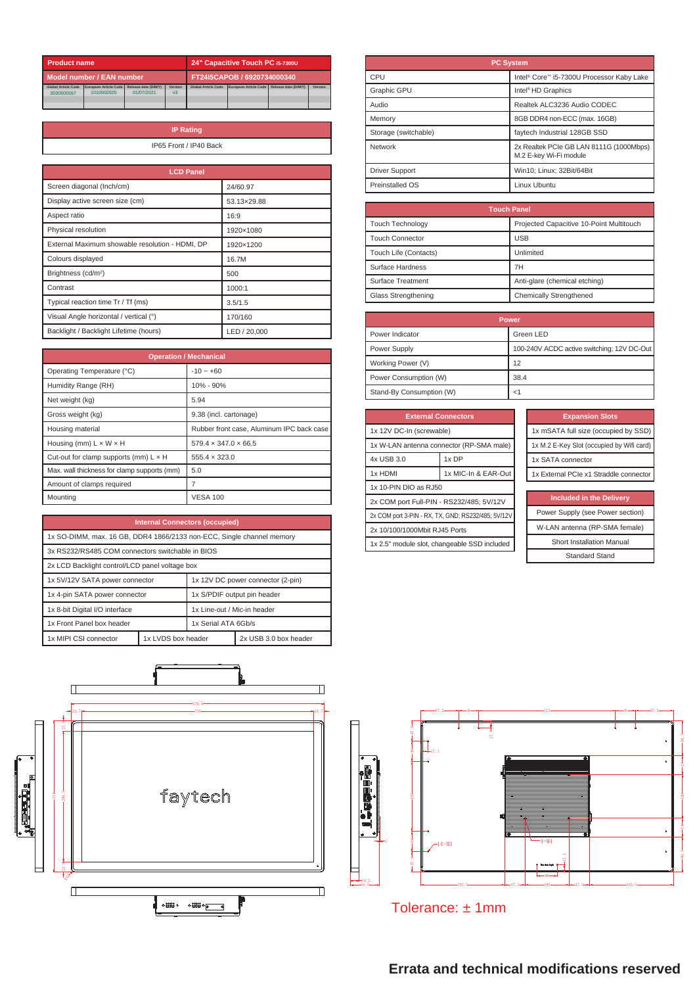| Product name               |                       | 24" Capacitive Touch PC i5-7300U |                |                            |                       |                      |         |
|----------------------------|-----------------------|----------------------------------|----------------|----------------------------|-----------------------|----------------------|---------|
| Model number / EAN number  |                       | FT24I5CAPOB / 6920734000340      |                |                            |                       |                      |         |
| <b>Global Article Code</b> | European Article Code | Release date (D/M/Y)             | Version        | <b>Global Article Code</b> | European Article Code | Release date (D/M/Y) | Version |
| 3030505557                 | 1010502025            | 01/07/2021                       | v <sub>3</sub> |                            |                       |                      |         |
|                            |                       |                                  |                |                            |                       |                      |         |
|                            |                       |                                  |                |                            |                       |                      |         |

| <b>IP Rating</b>       |
|------------------------|
| IP65 Front / IP40 Back |
|                        |

| <b>LCD Panel</b>                                |              |
|-------------------------------------------------|--------------|
| Screen diagonal (Inch/cm)                       | 24/60.97     |
| Display active screen size (cm)                 | 53.13×29.88  |
| Aspect ratio                                    | 16:9         |
| Physical resolution                             | 1920×1080    |
| External Maximum showable resolution - HDMI, DP | 1920×1200    |
| Colours displayed                               | 16.7M        |
| Brightness (cd/m <sup>2</sup> )                 | 500          |
| Contrast                                        | 1000:1       |
| Typical reaction time Tr / Tf (ms)              | 3.5/1.5      |
| Visual Angle horizontal / vertical (°)          | 170/160      |
| Backlight / Backlight Lifetime (hours)          | LED / 20.000 |

| <b>Operation / Mechanical</b>                |                                           |  |
|----------------------------------------------|-------------------------------------------|--|
| Operating Temperature (°C)                   | $-10 - +60$                               |  |
| Humidity Range (RH)                          | 10% - 90%                                 |  |
| Net weight (kg)                              | 5.94                                      |  |
| Gross weight (kg)                            | 9.38 (incl. cartonage)                    |  |
| Housing material                             | Rubber front case, Aluminum IPC back case |  |
| Housing (mm) $L \times W \times H$           | $579.4 \times 347.0 \times 66.5$          |  |
| Cut-out for clamp supports (mm) $L \times H$ | $555.4 \times 323.0$                      |  |
| Max. wall thickness for clamp supports (mm)  | 5.0                                       |  |
| Amount of clamps required                    |                                           |  |
| Mountina                                     | <b>VESA 100</b>                           |  |

| <b>Internal Connectors (occupied)</b>                                 |                    |                                   |                       |
|-----------------------------------------------------------------------|--------------------|-----------------------------------|-----------------------|
| 1x SO-DIMM, max. 16 GB, DDR4 1866/2133 non-ECC, Single channel memory |                    |                                   |                       |
| 3x RS232/RS485 COM connectors switchable in BIOS                      |                    |                                   |                       |
| 2x LCD Backlight control/LCD panel voltage box                        |                    |                                   |                       |
| 1x 5V/12V SATA power connector                                        |                    | 1x 12V DC power connector (2-pin) |                       |
| 1x 4-pin SATA power connector                                         |                    | 1x S/PDIF output pin header       |                       |
| 1x 8-bit Digital I/O interface                                        |                    | 1x Line-out / Mic-in header       |                       |
| 1x Front Panel box header                                             |                    | 1x Serial ATA 6Gh/s               |                       |
| 1x MIPI CSI connector                                                 | 1x LVDS box header |                                   | 2x USB 3.0 box header |



| <b>PC System</b>      |                                                                   |  |
|-----------------------|-------------------------------------------------------------------|--|
| CPU                   | Intel <sup>®</sup> Core™ i5-7300U Processor Kaby Lake             |  |
| Graphic GPU           | Intel <sup>®</sup> HD Graphics                                    |  |
| Audio                 | Realtek ALC3236 Audio CODEC                                       |  |
| Memory                | 8GB DDR4 non-ECC (max. 16GB)                                      |  |
| Storage (switchable)  | faytech Industrial 128GB SSD                                      |  |
| Network               | 2x Realtek PCIe GB LAN 8111G (1000Mbps)<br>M.2 E-kev Wi-Fi module |  |
| <b>Driver Support</b> | Win10: Linux: 32Bit/64Bit                                         |  |
| Preinstalled OS       | Linux Ubuntu                                                      |  |

| <b>Touch Panel</b>      |                                          |  |
|-------------------------|------------------------------------------|--|
| <b>Touch Technology</b> | Projected Capacitive 10-Point Multitouch |  |
| <b>Touch Connector</b>  | <b>USB</b>                               |  |
| Touch Life (Contacts)   | Unlimited                                |  |
| Surface Hardness        | 7H                                       |  |
| Surface Treatment       | Anti-glare (chemical etching)            |  |
| Glass Strengthening     | Chemically Strengthened                  |  |

| <b>Power</b>             |                                            |  |
|--------------------------|--------------------------------------------|--|
| Power Indicator          | Green LED                                  |  |
| Power Supply             | 100-240V ACDC active switching; 12V DC-Out |  |
| Working Power (V)        | 12                                         |  |
| Power Consumption (W)    | 38.4                                       |  |
| Stand-By Consumption (W) |                                            |  |

| <b>External Connectors</b>                         |                     |  |
|----------------------------------------------------|---------------------|--|
| 1x 12V DC-In (screwable)                           |                     |  |
| 1x W-LAN antenna connector (RP-SMA male)           |                     |  |
| 4x USB 3.0                                         | 1x DP               |  |
| 1x HDMI                                            | 1x MIC-In & EAR-Out |  |
| 1x 10-PIN DIO as RJ50                              |                     |  |
| 2x COM port Full-PIN - RS232/485; 5V/12V           |                     |  |
| 2x COM port 3-PIN - RX, TX, GND: RS232/485: 5V/12V |                     |  |
| 2x 10/100/1000Mbit RJ45 Ports                      |                     |  |
| 1x 2.5" module slot, changeable SSD included       |                     |  |
|                                                    |                     |  |

| <b>Expansion Slots</b>                    |
|-------------------------------------------|
| 1x mSATA full size (occupied by SSD)      |
| 1x M.2 E-Key Slot (occupied by Wifi card) |
| 1x SATA connector                         |
| 1x External PCIe x1 Straddle connector    |

| <b>Included in the Delivery</b>  |
|----------------------------------|
| Power Supply (see Power section) |
| W-LAN antenna (RP-SMA female)    |
| <b>Short Installation Manual</b> |
| <b>Standard Stand</b>            |



Tolerance: ± 1mm

## **Errata and technical modifications reserved**